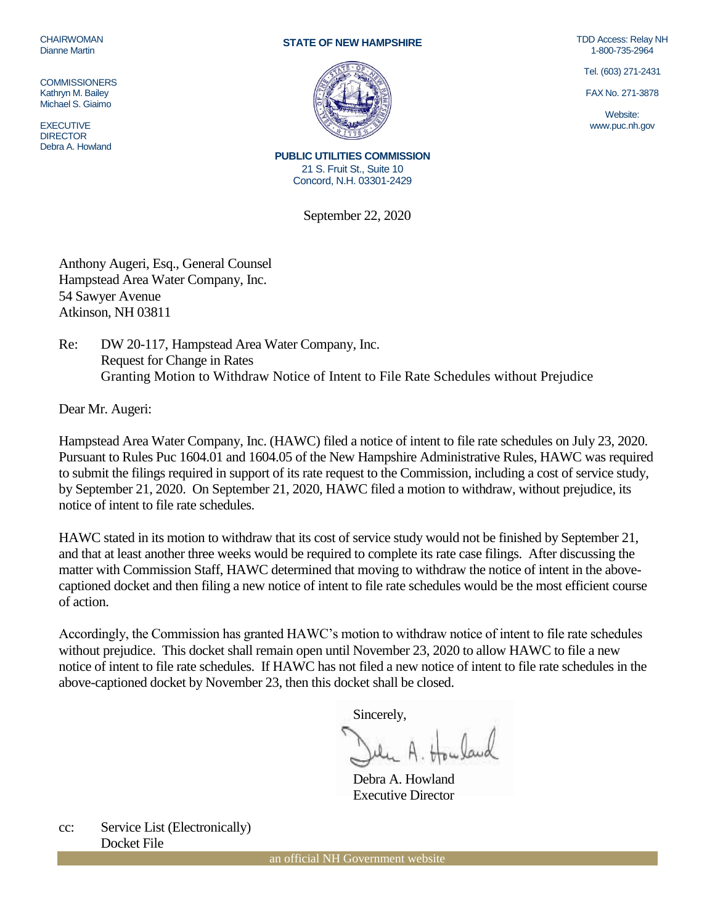CHAIRWOMAN Dianne Martin

**COMMISSIONERS** Kathryn M. Bailey Michael S. Giaimo

**EXECUTIVE** DIRECTOR Debra A. Howland

## **STATE OF NEW HAMPSHIRE**



TDD Access: Relay NH 1-800-735-2964

Tel. (603) 271-2431

FAX No. 271-3878

Website: www.puc.nh.gov

**PUBLIC UTILITIES COMMISSION** 21 S. Fruit St., Suite 10 Concord, N.H. 03301-2429

September 22, 2020

Anthony Augeri, Esq., General Counsel Hampstead Area Water Company, Inc. 54 Sawyer Avenue Atkinson, NH 03811

Re: DW 20-117, Hampstead Area Water Company, Inc. Request for Change in Rates Granting Motion to Withdraw Notice of Intent to File Rate Schedules without Prejudice

Dear Mr. Augeri:

Hampstead Area Water Company, Inc. (HAWC) filed a notice of intent to file rate schedules on July 23, 2020. Pursuant to Rules Puc 1604.01 and 1604.05 of the New Hampshire Administrative Rules, HAWC was required to submit the filings required in support of its rate request to the Commission, including a cost of service study, by September 21, 2020. On September 21, 2020, HAWC filed a motion to withdraw, without prejudice, its notice of intent to file rate schedules.

HAWC stated in its motion to withdraw that its cost of service study would not be finished by September 21, and that at least another three weeks would be required to complete its rate case filings. After discussing the matter with Commission Staff, HAWC determined that moving to withdraw the notice of intent in the abovecaptioned docket and then filing a new notice of intent to file rate schedules would be the most efficient course of action.

Accordingly, the Commission has granted HAWC's motion to withdraw notice of intent to file rate schedules without prejudice. This docket shall remain open until November 23, 2020 to allow HAWC to file a new notice of intent to file rate schedules. If HAWC has not filed a new notice of intent to file rate schedules in the above-captioned docket by November 23, then this docket shall be closed.

Sincerely,

Debra A. Howland Executive Director

cc: Service List (Electronically) Docket File